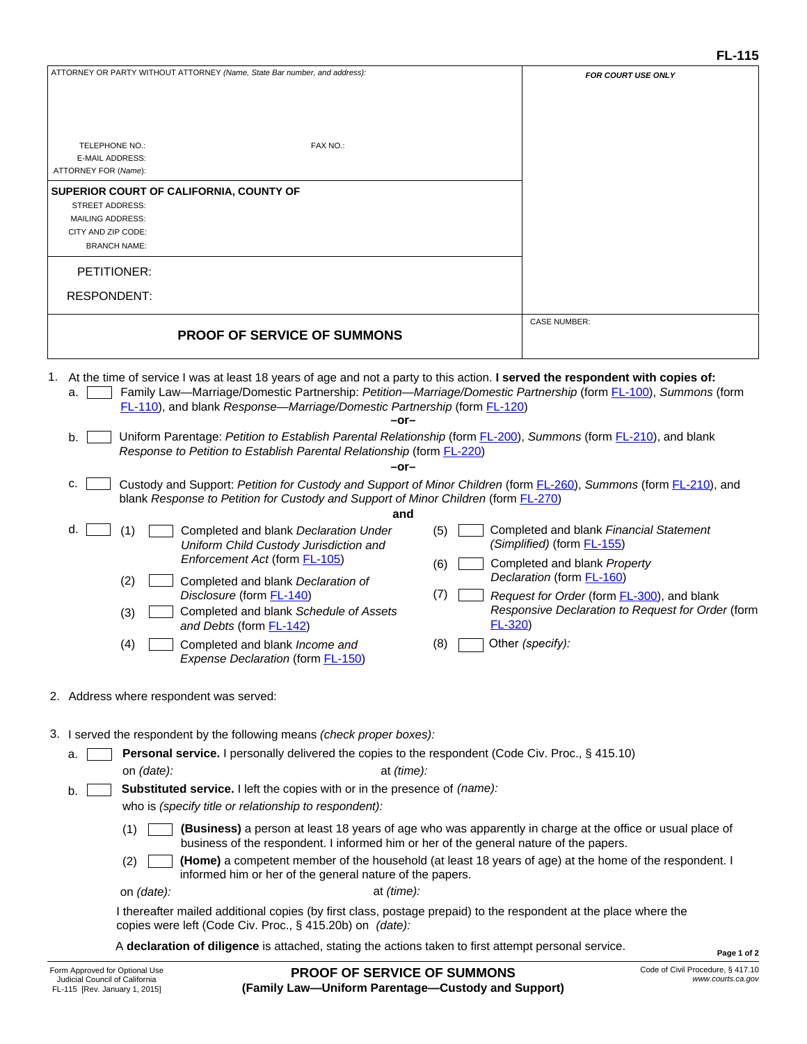| ATTORNEY OR PARTY WITHOUT ATTORNEY (Name, State Bar number, and address):                                                                                                                                     | <b>FOR COURT USE ONLY</b>                                                                               |
|---------------------------------------------------------------------------------------------------------------------------------------------------------------------------------------------------------------|---------------------------------------------------------------------------------------------------------|
|                                                                                                                                                                                                               |                                                                                                         |
|                                                                                                                                                                                                               |                                                                                                         |
| TELEPHONE NO.:<br>FAX NO.:                                                                                                                                                                                    |                                                                                                         |
| E-MAIL ADDRESS:                                                                                                                                                                                               |                                                                                                         |
| ATTORNEY FOR (Name):                                                                                                                                                                                          |                                                                                                         |
| SUPERIOR COURT OF CALIFORNIA, COUNTY OF<br><b>STREET ADDRESS:</b>                                                                                                                                             |                                                                                                         |
| <b>MAILING ADDRESS:</b>                                                                                                                                                                                       |                                                                                                         |
| CITY AND ZIP CODE:<br><b>BRANCH NAME:</b>                                                                                                                                                                     |                                                                                                         |
| PETITIONER:                                                                                                                                                                                                   |                                                                                                         |
| <b>RESPONDENT:</b>                                                                                                                                                                                            |                                                                                                         |
|                                                                                                                                                                                                               | <b>CASE NUMBER:</b>                                                                                     |
| <b>PROOF OF SERVICE OF SUMMONS</b>                                                                                                                                                                            |                                                                                                         |
|                                                                                                                                                                                                               |                                                                                                         |
| 1. At the time of service I was at least 18 years of age and not a party to this action. I served the respondent with copies of:                                                                              |                                                                                                         |
| Family Law-Marriage/Domestic Partnership: Petition-Marriage/Domestic Partnership (form FL-100), Summons (form<br>a.<br>FL-110), and blank Response-Marriage/Domestic Partnership (form FL-120)                |                                                                                                         |
| -or-                                                                                                                                                                                                          |                                                                                                         |
| Uniform Parentage: Petition to Establish Parental Relationship (form FL-200), Summons (form FL-210), and blank<br>b.<br>Response to Petition to Establish Parental Relationship (form <b>FL-220)</b>          |                                                                                                         |
| $-0r-$                                                                                                                                                                                                        |                                                                                                         |
| Custody and Support: Petition for Custody and Support of Minor Children (form FL-260), Summons (form FL-210), and<br>c.<br>blank Response to Petition for Custody and Support of Minor Children (form FL-270) |                                                                                                         |
| and                                                                                                                                                                                                           |                                                                                                         |
| d.<br>(1)<br>Completed and blank Declaration Under<br>(5)<br>Uniform Child Custody Jurisdiction and                                                                                                           | Completed and blank Financial Statement<br>(Simplified) (form <b>FL-155)</b>                            |
| Enforcement Act (form FL-105)<br>(6)                                                                                                                                                                          | Completed and blank Property                                                                            |
| (2)<br>Completed and blank Declaration of                                                                                                                                                                     | Declaration (form FL-160)                                                                               |
| (7)<br>Disclosure (form FL-140)<br>Completed and blank Schedule of Assets<br>(3)                                                                                                                              | Request for Order (form <b>FL-300</b> ), and blank<br>Responsive Declaration to Request for Order (form |
| $FL-320$<br>and Debts (form <b>FL-142)</b>                                                                                                                                                                    |                                                                                                         |
| (8)<br>Completed and blank Income and<br>(4)<br>Expense Declaration (form FL-150)                                                                                                                             | Other (specify):                                                                                        |
|                                                                                                                                                                                                               |                                                                                                         |
| 2. Address where respondent was served:                                                                                                                                                                       |                                                                                                         |
| 3. I served the respondent by the following means (check proper boxes):                                                                                                                                       |                                                                                                         |
| Personal service. I personally delivered the copies to the respondent (Code Civ. Proc., § 415.10)<br>а.                                                                                                       |                                                                                                         |
| at (time):<br>on (date):                                                                                                                                                                                      |                                                                                                         |
| Substituted service. I left the copies with or in the presence of (name):<br>b.<br>who is (specify title or relationship to respondent):                                                                      |                                                                                                         |
| (Business) a person at least 18 years of age who was apparently in charge at the office or usual place of<br>(1)                                                                                              |                                                                                                         |
| business of the respondent. I informed him or her of the general nature of the papers.<br>(Home) a competent member of the household (at least 18 years of age) at the home of the respondent. I<br>(2)       |                                                                                                         |
| informed him or her of the general nature of the papers.                                                                                                                                                      |                                                                                                         |
| at (time):<br>on (date):                                                                                                                                                                                      |                                                                                                         |
| I thereafter mailed additional copies (by first class, postage prepaid) to the respondent at the place where the<br>copies were left (Code Civ. Proc., § 415.20b) on (date):                                  |                                                                                                         |
| A declaration of diligence is attached, stating the actions taken to first attempt personal service.                                                                                                          | Page 1 of 2                                                                                             |
|                                                                                                                                                                                                               |                                                                                                         |